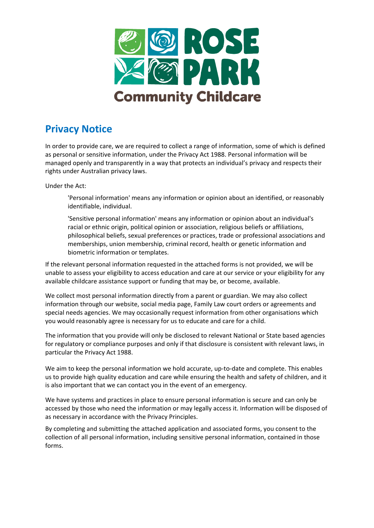

## **Privacy Notice**

In order to provide care, we are required to collect a range of information, some of which is defined as personal or sensitive information, under the Privacy Act 1988. Personal information will be managed openly and transparently in a way that protects an individual's privacy and respects their rights under Australian privacy laws.

Under the Act:

'Personal information' means any information or opinion about an identified, or reasonably identifiable, individual.

'Sensitive personal information' means any information or opinion about an individual's racial or ethnic origin, political opinion or association, religious beliefs or affiliations, philosophical beliefs, sexual preferences or practices, trade or professional associations and memberships, union membership, criminal record, health or genetic information and biometric information or templates.

If the relevant personal information requested in the attached forms is not provided, we will be unable to assess your eligibility to access education and care at our service or your eligibility for any available childcare assistance support or funding that may be, or become, available.

We collect most personal information directly from a parent or guardian. We may also collect information through our website, social media page, Family Law court orders or agreements and special needs agencies. We may occasionally request information from other organisations which you would reasonably agree is necessary for us to educate and care for a child.

The information that you provide will only be disclosed to relevant National or State based agencies for regulatory or compliance purposes and only if that disclosure is consistent with relevant laws, in particular the Privacy Act 1988.

We aim to keep the personal information we hold accurate, up-to-date and complete. This enables us to provide high quality education and care while ensuring the health and safety of children, and it is also important that we can contact you in the event of an emergency.

We have systems and practices in place to ensure personal information is secure and can only be accessed by those who need the information or may legally access it. Information will be disposed of as necessary in accordance with the Privacy Principles.

By completing and submitting the attached application and associated forms, you consent to the collection of all personal information, including sensitive personal information, contained in those forms.